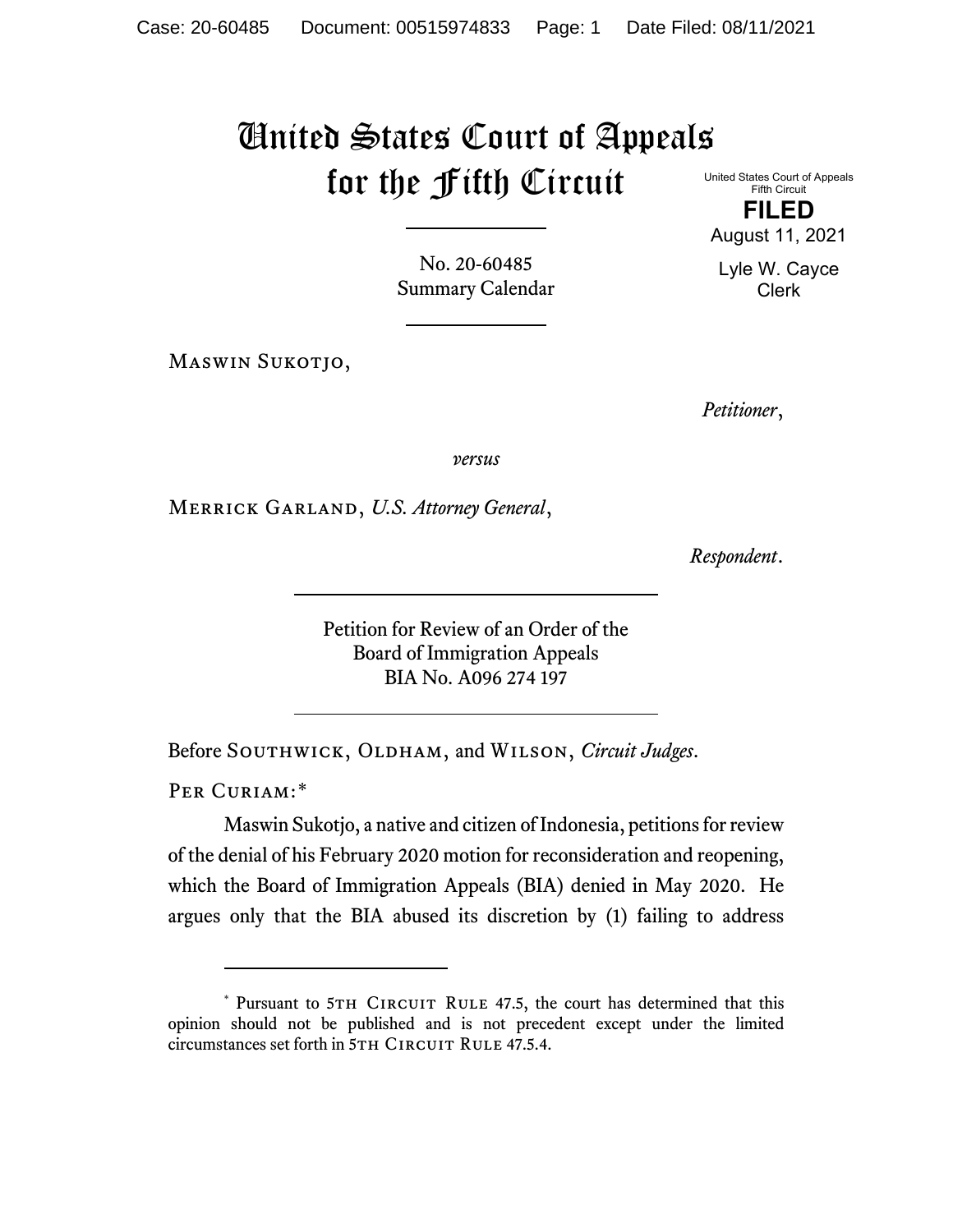## United States Court of Appeals for the Fifth Circuit

No. 20-60485 Summary Calendar

Maswin Sukotjo,

United States Court of Appeals Fifth Circuit **FILED** August 11, 2021

Lyle W. Cayce Clerk

*Petitioner*,

*versus*

Merrick Garland, *U.S. Attorney General*,

*Respondent*.

Petition for Review of an Order of the Board of Immigration Appeals BIA No. A096 274 197

Before SOUTHWICK, OLDHAM, and WILSON, *Circuit Judges*.

PER CURIAM:[\\*](#page-0-0)

Maswin Sukotjo, a native and citizen of Indonesia, petitions for review of the denial of his February 2020 motion for reconsideration and reopening, which the Board of Immigration Appeals (BIA) denied in May 2020. He argues only that the BIA abused its discretion by (1) failing to address

<span id="page-0-0"></span><sup>\*</sup> Pursuant to 5TH CIRCUIT RULE 47.5, the court has determined that this opinion should not be published and is not precedent except under the limited circumstances set forth in 5TH CIRCUIT RULE 47.5.4.